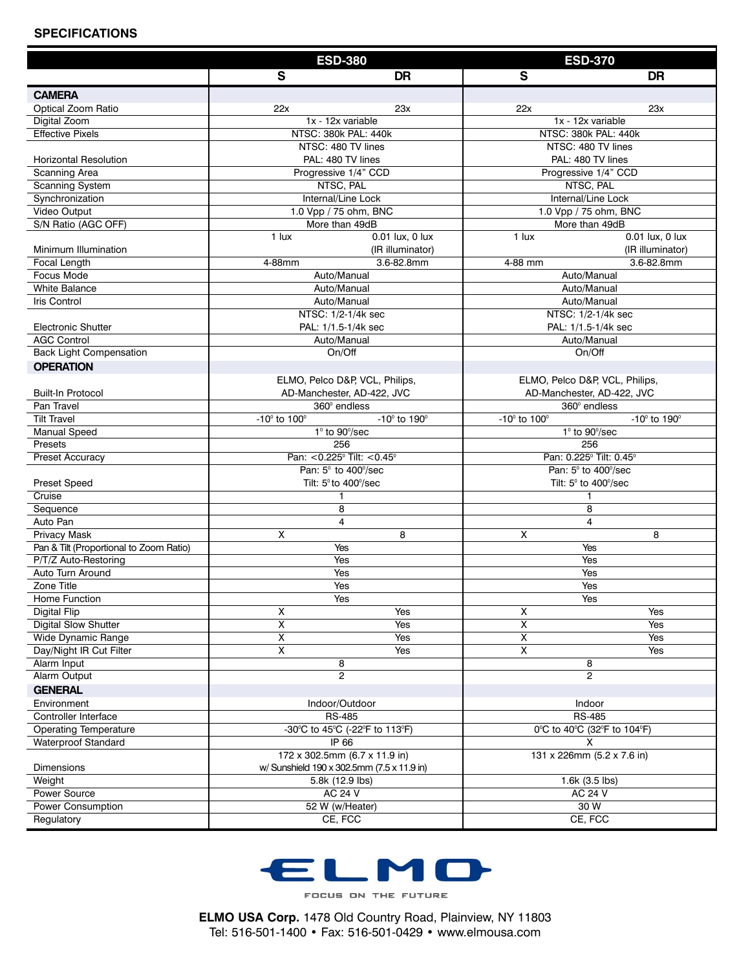#### **SPECIFICATIONS**

|                                         | <b>ESD-380</b>                             |                                | <b>ESD-370</b>                          |                                |  |
|-----------------------------------------|--------------------------------------------|--------------------------------|-----------------------------------------|--------------------------------|--|
|                                         | $\mathbf{s}$                               | <b>DR</b>                      | S                                       | <b>DR</b>                      |  |
| <b>CAMERA</b>                           |                                            |                                |                                         |                                |  |
| Optical Zoom Ratio                      | 22x                                        | 23x                            | 22x                                     | 23x                            |  |
| Digital Zoom                            | 1x - 12x variable                          |                                | 1x - 12x variable                       |                                |  |
| <b>Effective Pixels</b>                 | NTSC: 380k PAL: 440k                       |                                | NTSC: 380k PAL: 440k                    |                                |  |
|                                         | NTSC: 480 TV lines                         |                                |                                         | NTSC: 480 TV lines             |  |
| <b>Horizontal Resolution</b>            | PAL: 480 TV lines                          |                                |                                         | PAL: 480 TV lines              |  |
| Scanning Area                           | Progressive 1/4" CCD                       |                                |                                         | Progressive 1/4" CCD           |  |
| Scanning System                         | NTSC, PAL<br>Internal/Line Lock            |                                |                                         | NTSC, PAL                      |  |
| Synchronization<br>Video Output         | 1.0 Vpp / 75 ohm, BNC                      |                                |                                         | Internal/Line Lock             |  |
| S/N Ratio (AGC OFF)                     | More than 49dB                             |                                | 1.0 Vpp / 75 ohm, BNC<br>More than 49dB |                                |  |
|                                         | $0.01$ lux, 0 lux<br>1 lux                 |                                | 0.01 lux, 0 lux<br>1 lux                |                                |  |
| Minimum Illumination                    |                                            | (IR illuminator)               |                                         | (IR illuminator)               |  |
| Focal Length                            | 4-88mm                                     | 3.6-82.8mm                     | 4-88 mm                                 | 3.6-82.8mm                     |  |
| Focus Mode                              |                                            | Auto/Manual                    |                                         | Auto/Manual                    |  |
| <b>White Balance</b>                    | Auto/Manual                                |                                | Auto/Manual                             |                                |  |
| <b>Iris Control</b>                     | Auto/Manual                                |                                |                                         | Auto/Manual                    |  |
|                                         | NTSC: 1/2-1/4k sec                         |                                | NTSC: 1/2-1/4k sec                      |                                |  |
| <b>Electronic Shutter</b>               | PAL: 1/1.5-1/4k sec                        |                                | PAL: 1/1.5-1/4k sec                     |                                |  |
| <b>AGC Control</b>                      | Auto/Manual                                |                                | Auto/Manual                             |                                |  |
| <b>Back Light Compensation</b>          |                                            | On/Off                         |                                         | On/Off                         |  |
| <b>OPERATION</b>                        |                                            |                                |                                         |                                |  |
|                                         | ELMO, Pelco D&P, VCL, Philips,             |                                | ELMO, Pelco D&P, VCL, Philips,          |                                |  |
| <b>Built-In Protocol</b>                | AD-Manchester, AD-422, JVC                 |                                | AD-Manchester, AD-422, JVC              |                                |  |
| Pan Travel                              |                                            | 360° endless                   |                                         | $360^\circ$ endless            |  |
| <b>Tilt Travel</b><br>Manual Speed      | $-10^{\circ}$ to $100^{\circ}$             | $-10^{\circ}$ to $190^{\circ}$ | $-10^{\circ}$ to $100^{\circ}$          | $-10^{\circ}$ to $190^{\circ}$ |  |
| Presets                                 | $1^\circ$ to 90 $\degree$ /sec<br>256      |                                | $1^\circ$ to 90 $\degree$ /sec<br>256   |                                |  |
| Preset Accuracy                         | Pan: < 0.225° Tilt: < 0.45°                |                                | Pan: 0.225° Tilt: 0.45°                 |                                |  |
|                                         | Pan: 5° to 400°/sec                        |                                | Pan: 5° to 400°/sec                     |                                |  |
| <b>Preset Speed</b>                     | Tilt: 5° to 400°/sec                       |                                | Tilt: 5° to 400°/sec                    |                                |  |
| Cruise                                  | 1                                          |                                | 1                                       |                                |  |
| Sequence                                | 8                                          |                                | 8                                       |                                |  |
| Auto Pan                                | $\overline{4}$                             |                                | 4                                       |                                |  |
| <b>Privacy Mask</b>                     | X                                          | 8                              | X                                       | 8                              |  |
| Pan & Tilt (Proportional to Zoom Ratio) | Yes                                        |                                | Yes                                     |                                |  |
| P/T/Z Auto-Restoring                    | Yes                                        |                                | Yes                                     |                                |  |
| Auto Turn Around                        | Yes                                        |                                | Yes                                     |                                |  |
| Zone Title<br>Home Function             | Yes<br>Yes                                 |                                | Yes<br>Yes                              |                                |  |
| Digital Flip                            | x                                          | Yes                            | X                                       | Yes                            |  |
| <b>Digital Slow Shutter</b>             | Χ                                          | Yes                            | X                                       | Yes                            |  |
| Wide Dynamic Range                      | $\overline{\mathsf{x}}$                    | Yes                            | $\overline{\mathsf{x}}$                 | Yes                            |  |
| Day/Night IR Cut Filter                 | $\pmb{\times}$                             | Yes                            | $\pmb{\times}$                          | Yes                            |  |
| Alarm Input                             |                                            | 8                              |                                         | 8                              |  |
| Alarm Output                            | $\mathbf{2}$                               |                                | $\mathbf{2}$                            |                                |  |
| <b>GENERAL</b>                          |                                            |                                |                                         |                                |  |
| Environment                             | Indoor/Outdoor                             |                                | Indoor                                  |                                |  |
| Controller Interface                    | <b>RS-485</b>                              |                                | <b>RS-485</b>                           |                                |  |
| <b>Operating Temperature</b>            | -30°C to 45°C (-22°F to 113°F)             |                                | 0°C to 40°C (32°F to 104°F)             |                                |  |
| <b>Waterproof Standard</b>              | IP 66                                      |                                | x                                       |                                |  |
|                                         | 172 x 302.5mm (6.7 x 11.9 in)              |                                | 131 x 226mm (5.2 x 7.6 in)              |                                |  |
| Dimensions                              | w/ Sunshield 190 x 302.5mm (7.5 x 11.9 in) |                                |                                         |                                |  |
| Weight                                  | 5.8k (12.9 lbs)                            |                                | 1.6k (3.5 lbs)                          |                                |  |
| Power Source                            | AC 24 V                                    |                                | AC 24 V                                 |                                |  |
| Power Consumption                       | 52 W (w/Heater)                            |                                | 30 W<br>CE, FCC                         |                                |  |
| Regulatory                              | CE, FCC                                    |                                |                                         |                                |  |



FOCUS ON THE FUTURE

**ELMO USA Corp.** 1478 Old Country Road, Plainview, NY 11803 Tel: 516-501-1400 • Fax: 516-501-0429 • www.elmousa.com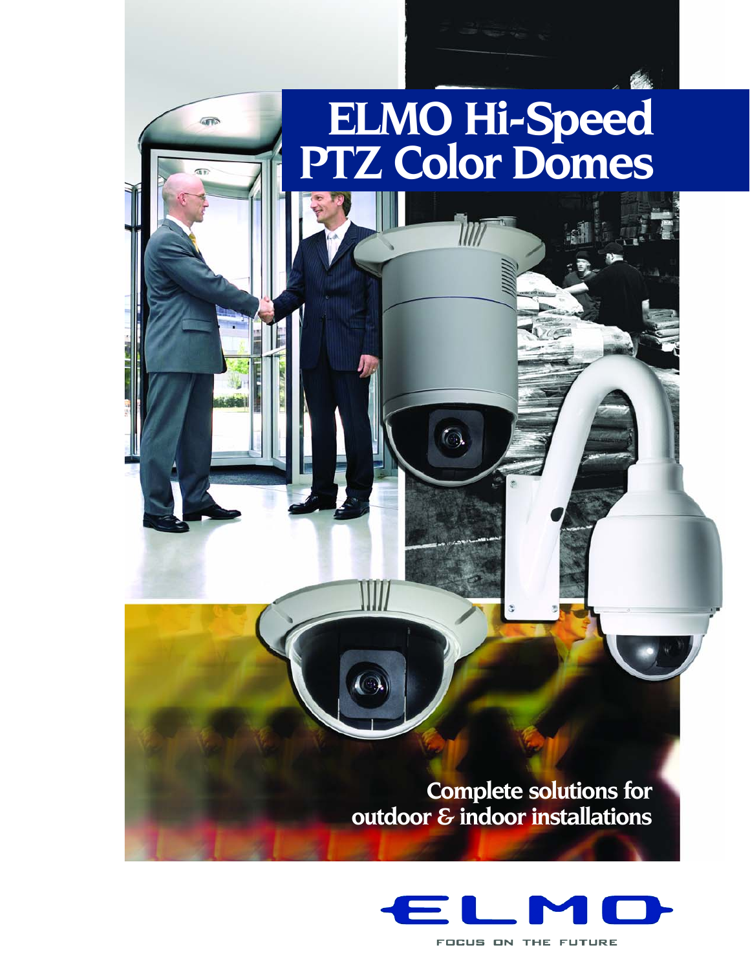# **ELMO Hi-Speed PTZ Color Domes**

 $\left(\right)$ 

 $\widehat{\mathbb{R}}$ 

**Complete solutions for outdoor & indoor installations**



FOCUS ON THE FUTURE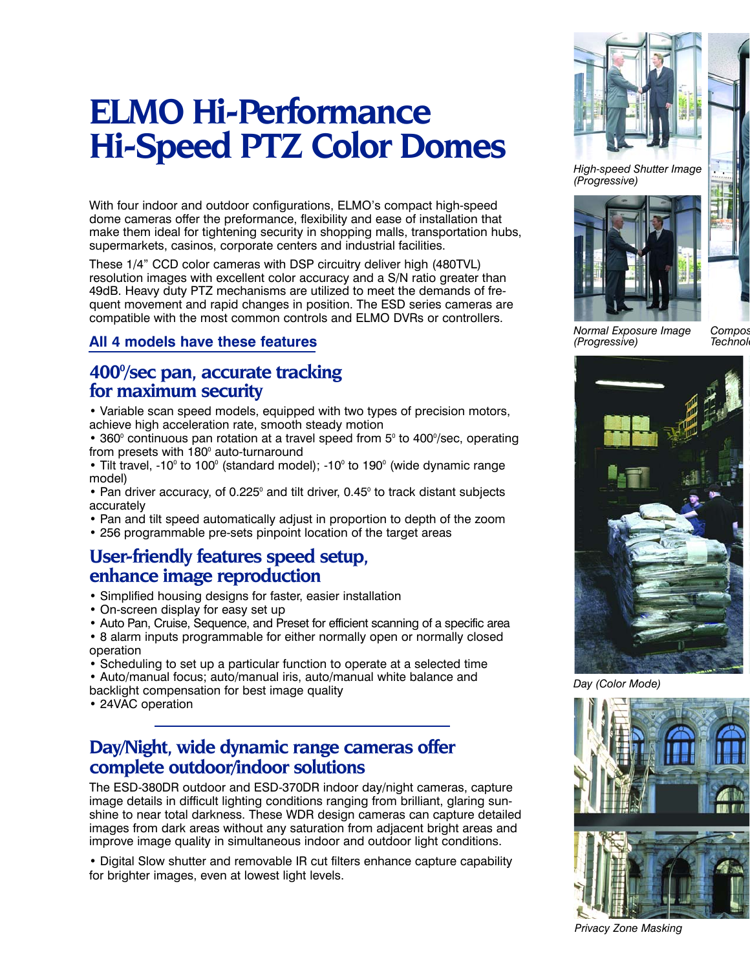# **ELMO Hi-Performance Hi-Speed PTZ Color Domes**

With four indoor and outdoor configurations, ELMO's compact high-speed dome cameras offer the preformance, flexibility and ease of installation that make them ideal for tightening security in shopping malls, transportation hubs, supermarkets, casinos, corporate centers and industrial facilities.

These 1/4" CCD color cameras with DSP circuitry deliver high (480TVL) resolution images with excellent color accuracy and a S/N ratio greater than 49dB. Heavy duty PTZ mechanisms are utilized to meet the demands of frequent movement and rapid changes in position. The ESD series cameras are compatible with the most common controls and ELMO DVRs or controllers.

#### **All 4 models have these features**

#### 400% sec pan, accurate tracking **for maximum security**

• Variable scan speed models, equipped with two types of precision motors, achieve high acceleration rate, smooth steady motion

• 360 $^{\circ}$  continuous pan rotation at a travel speed from 5 $^{\circ}$  to 400 $^{\circ}$ /sec, operating from presets with  $180^\circ$  auto-turnaround

• Tilt travel, -10 $\degree$  to 100 $\degree$  (standard model); -10 $\degree$  to 190 $\degree$  (wide dynamic range model)

• Pan driver accuracy, of 0.225° and tilt driver, 0.45° to track distant subjects accurately

• Pan and tilt speed automatically adjust in proportion to depth of the zoom

• 256 programmable pre-sets pinpoint location of the target areas

# **User-friendly features speed setup, enhance image reproduction**

- Simplified housing designs for faster, easier installation
- On-screen display for easy set up
- Auto Pan, Cruise, Sequence, and Preset for efficient scanning of a specific area
- 8 alarm inputs programmable for either normally open or normally closed operation
- Scheduling to set up a particular function to operate at a selected time
- Auto/manual focus; auto/manual iris, auto/manual white balance and
- backlight compensation for best image quality
- 24VAC operation

### **Day/Night, wide dynamic range cameras offer complete outdoor/indoor solutions**

The ESD-380DR outdoor and ESD-370DR indoor day/night cameras, capture image details in difficult lighting conditions ranging from brilliant, glaring sunshine to near total darkness. These WDR design cameras can capture detailed images from dark areas without any saturation from adjacent bright areas and improve image quality in simultaneous indoor and outdoor light conditions.

• Digital Slow shutter and removable IR cut filters enhance capture capability for brighter images, even at lowest light levels.



*High-speed Shutter Image (Progressive)*



*Normal Exposure Image (Progressive)*

*Compos* **Technol** 



*Day (Color Mode)*



*Privacy Zone Masking*